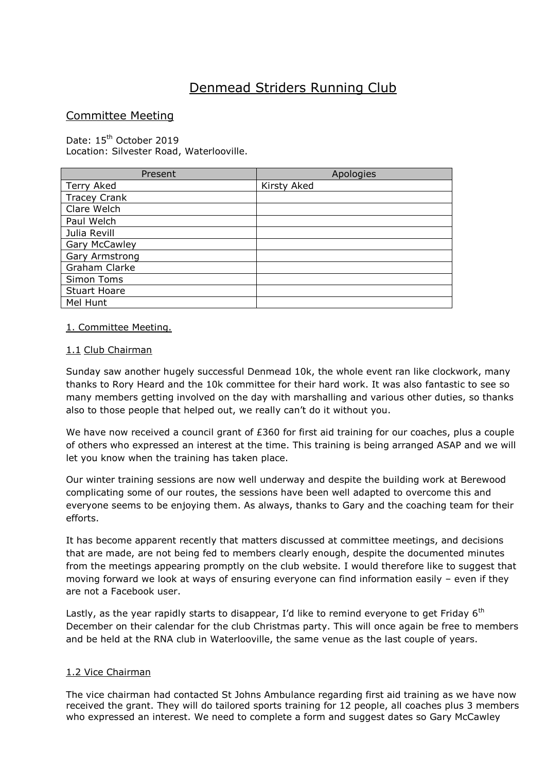# Denmead Striders Running Club

# Committee Meeting

Date: 15<sup>th</sup> October 2019 Location: Silvester Road, Waterlooville.

| Present              | Apologies   |
|----------------------|-------------|
| Terry Aked           | Kirsty Aked |
| <b>Tracey Crank</b>  |             |
| Clare Welch          |             |
| Paul Welch           |             |
| Julia Revill         |             |
| <b>Gary McCawley</b> |             |
| Gary Armstrong       |             |
| Graham Clarke        |             |
| Simon Toms           |             |
| <b>Stuart Hoare</b>  |             |
| Mel Hunt             |             |

## 1. Committee Meeting.

## 1.1 Club Chairman

Sunday saw another hugely successful Denmead 10k, the whole event ran like clockwork, many thanks to Rory Heard and the 10k committee for their hard work. It was also fantastic to see so many members getting involved on the day with marshalling and various other duties, so thanks also to those people that helped out, we really can't do it without you.

We have now received a council grant of £360 for first aid training for our coaches, plus a couple of others who expressed an interest at the time. This training is being arranged ASAP and we will let you know when the training has taken place.

Our winter training sessions are now well underway and despite the building work at Berewood complicating some of our routes, the sessions have been well adapted to overcome this and everyone seems to be enjoying them. As always, thanks to Gary and the coaching team for their efforts.

It has become apparent recently that matters discussed at committee meetings, and decisions that are made, are not being fed to members clearly enough, despite the documented minutes from the meetings appearing promptly on the club website. I would therefore like to suggest that moving forward we look at ways of ensuring everyone can find information easily – even if they are not a Facebook user.

Lastly, as the year rapidly starts to disappear, I'd like to remind everyone to get Friday  $6<sup>th</sup>$ December on their calendar for the club Christmas party. This will once again be free to members and be held at the RNA club in Waterlooville, the same venue as the last couple of years.

# 1.2 Vice Chairman

The vice chairman had contacted St Johns Ambulance regarding first aid training as we have now received the grant. They will do tailored sports training for 12 people, all coaches plus 3 members who expressed an interest. We need to complete a form and suggest dates so Gary McCawley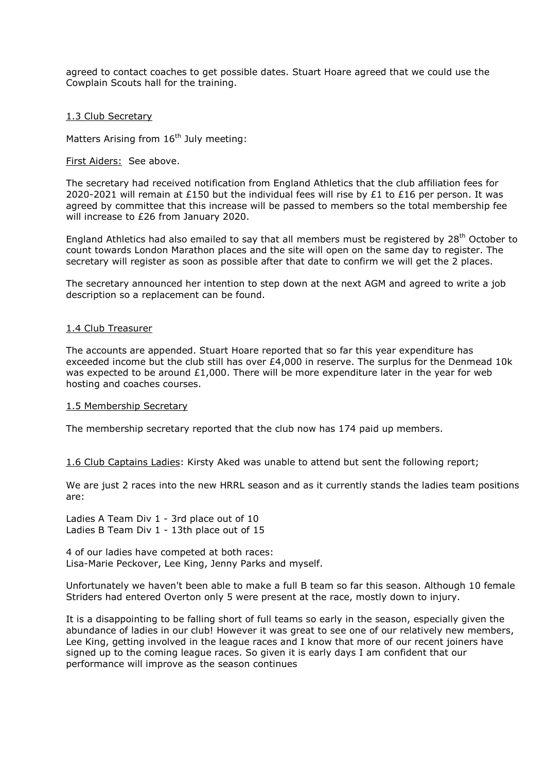agreed to contact coaches to get possible dates. Stuart Hoare agreed that we could use the Cowplain Scouts hall for the training.

#### 1.3 Club Secretary

Matters Arising from  $16<sup>th</sup>$  July meeting:

### First Aiders: See above.

The secretary had received notification from England Athletics that the club affiliation fees for 2020-2021 will remain at £150 but the individual fees will rise by £1 to £16 per person. It was agreed by committee that this increase will be passed to members so the total membership fee will increase to £26 from January 2020.

England Athletics had also emailed to say that all members must be registered by 28<sup>th</sup> October to count towards London Marathon places and the site will open on the same day to register. The secretary will register as soon as possible after that date to confirm we will get the 2 places.

The secretary announced her intention to step down at the next AGM and agreed to write a job description so a replacement can be found.

#### 1.4 Club Treasurer

The accounts are appended. Stuart Hoare reported that so far this year expenditure has exceeded income but the club still has over £4,000 in reserve. The surplus for the Denmead 10k was expected to be around  $£1,000$ . There will be more expenditure later in the year for web hosting and coaches courses.

#### 1.5 Membership Secretary

The membership secretary reported that the club now has 174 paid up members.

1.6 Club Captains Ladies: Kirsty Aked was unable to attend but sent the following report;

We are just 2 races into the new HRRL season and as it currently stands the ladies team positions are:

Ladies A Team Div 1 - 3rd place out of 10 Ladies B Team Div 1 - 13th place out of 15

4 of our ladies have competed at both races: Lisa-Marie Peckover, Lee King, Jenny Parks and myself.

Unfortunately we haven't been able to make a full B team so far this season. Although 10 female Striders had entered Overton only 5 were present at the race, mostly down to injury.

It is a disappointing to be falling short of full teams so early in the season, especially given the abundance of ladies in our club! However it was great to see one of our relatively new members, Lee King, getting involved in the league races and I know that more of our recent joiners have signed up to the coming league races. So given it is early days I am confident that our performance will improve as the season continues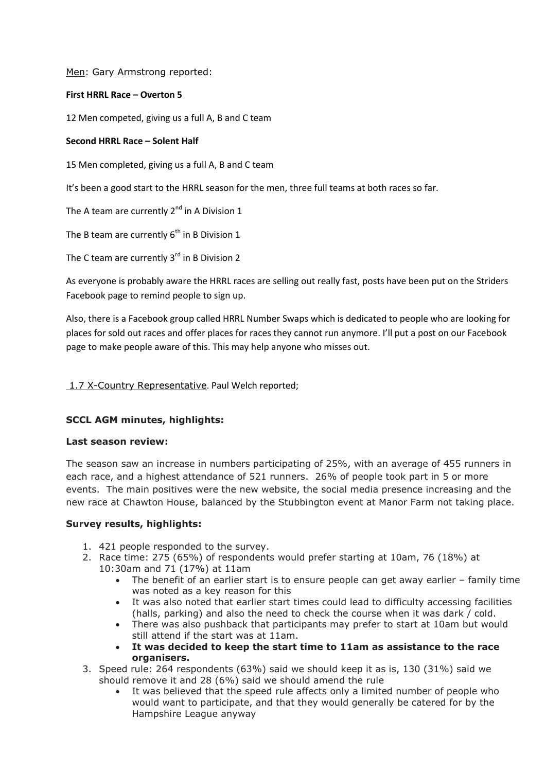Men: Gary Armstrong reported:

## **First HRRL Race – Overton 5**

12 Men competed, giving us a full A, B and C team

## **Second HRRL Race – Solent Half**

15 Men completed, giving us a full A, B and C team

It's been a good start to the HRRL season for the men, three full teams at both races so far.

The A team are currently  $2^{nd}$  in A Division 1

The B team are currently  $6<sup>th</sup>$  in B Division 1

The C team are currently  $3<sup>rd</sup>$  in B Division 2

As everyone is probably aware the HRRL races are selling out really fast, posts have been put on the Striders Facebook page to remind people to sign up.

Also, there is a Facebook group called HRRL Number Swaps which is dedicated to people who are looking for places for sold out races and offer places for races they cannot run anymore. I'll put a post on our Facebook page to make people aware of this. This may help anyone who misses out.

## 1.7 X-Country Representative. Paul Welch reported;

# **SCCL AGM minutes, highlights:**

#### **Last season review:**

The season saw an increase in numbers participating of 25%, with an average of 455 runners in each race, and a highest attendance of 521 runners. 26% of people took part in 5 or more events. The main positives were the new website, the social media presence increasing and the new race at Chawton House, balanced by the Stubbington event at Manor Farm not taking place.

#### **Survey results, highlights:**

- 1. 421 people responded to the survey.
- 2. Race time: 275 (65%) of respondents would prefer starting at 10am, 76 (18%) at 10:30am and 71 (17%) at 11am
	- The benefit of an earlier start is to ensure people can get away earlier family time was noted as a key reason for this
	- It was also noted that earlier start times could lead to difficulty accessing facilities (halls, parking) and also the need to check the course when it was dark / cold.
	- There was also pushback that participants may prefer to start at 10am but would still attend if the start was at 11am.
	- **It was decided to keep the start time to 11am as assistance to the race organisers.**
- 3. Speed rule: 264 respondents (63%) said we should keep it as is, 130 (31%) said we should remove it and 28 (6%) said we should amend the rule
	- It was believed that the speed rule affects only a limited number of people who would want to participate, and that they would generally be catered for by the Hampshire League anyway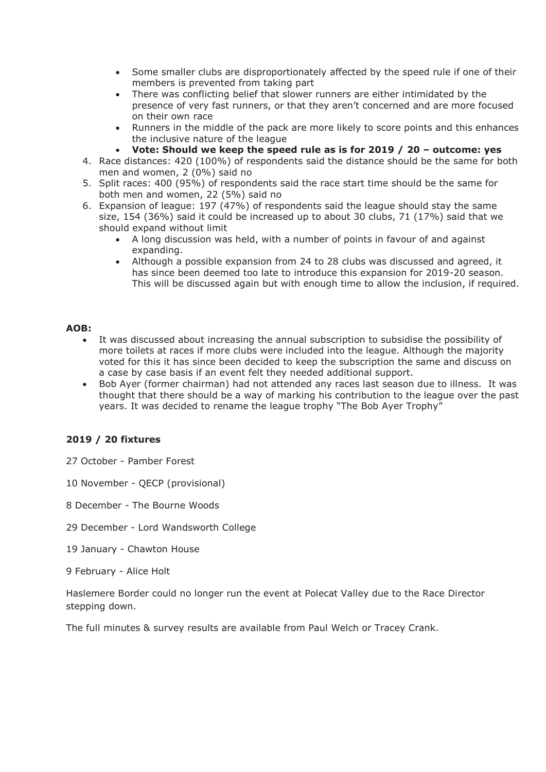- Some smaller clubs are disproportionately affected by the speed rule if one of their members is prevented from taking part
- There was conflicting belief that slower runners are either intimidated by the presence of very fast runners, or that they aren't concerned and are more focused on their own race
- Runners in the middle of the pack are more likely to score points and this enhances the inclusive nature of the league
- **Vote: Should we keep the speed rule as is for 2019 / 20 – outcome: yes**
- 4. Race distances: 420 (100%) of respondents said the distance should be the same for both men and women, 2 (0%) said no
- 5. Split races: 400 (95%) of respondents said the race start time should be the same for both men and women, 22 (5%) said no
- 6. Expansion of league: 197 (47%) of respondents said the league should stay the same size, 154 (36%) said it could be increased up to about 30 clubs, 71 (17%) said that we should expand without limit
	- A long discussion was held, with a number of points in favour of and against expanding.
	- Although a possible expansion from 24 to 28 clubs was discussed and agreed, it has since been deemed too late to introduce this expansion for 2019-20 season. This will be discussed again but with enough time to allow the inclusion, if required.

# **AOB:**

- It was discussed about increasing the annual subscription to subsidise the possibility of more toilets at races if more clubs were included into the league. Although the majority voted for this it has since been decided to keep the subscription the same and discuss on a case by case basis if an event felt they needed additional support.
- Bob Ayer (former chairman) had not attended any races last season due to illness. It was thought that there should be a way of marking his contribution to the league over the past years. It was decided to rename the league trophy "The Bob Ayer Trophy"

# **2019 / 20 fixtures**

- 27 October Pamber Forest
- 10 November QECP (provisional)
- 8 December The Bourne Woods
- 29 December Lord Wandsworth College
- 19 January Chawton House
- 9 February Alice Holt

Haslemere Border could no longer run the event at Polecat Valley due to the Race Director stepping down.

The full minutes & survey results are available from Paul Welch or Tracey Crank.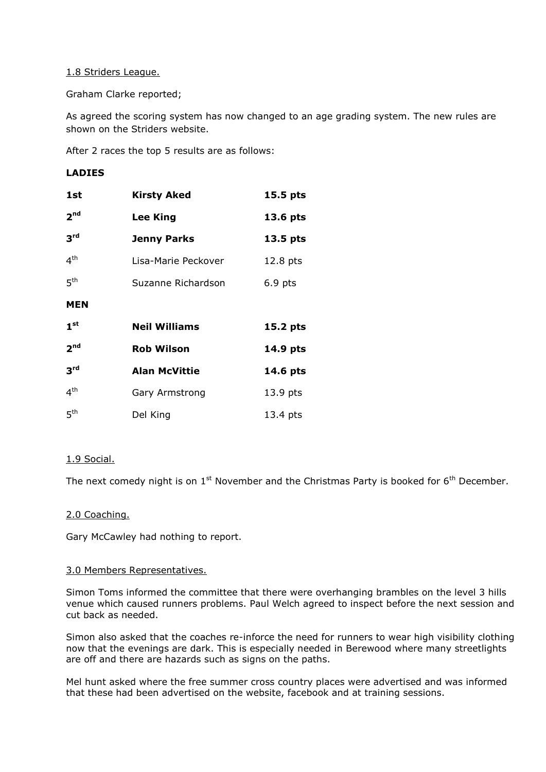## 1.8 Striders League.

Graham Clarke reported;

As agreed the scoring system has now changed to an age grading system. The new rules are shown on the Striders website.

After 2 races the top 5 results are as follows:

## **LADIES**

| 1st             | <b>Kirsty Aked</b><br>15.5 pts |           |
|-----------------|--------------------------------|-----------|
| 2 <sup>nd</sup> | <b>Lee King</b>                | 13.6 pts  |
| 3 <sup>rd</sup> | <b>Jenny Parks</b>             | 13.5 pts  |
| 4 <sup>th</sup> | Lisa-Marie Peckover            | 12.8 pts  |
| 5 <sup>th</sup> | Suzanne Richardson             | $6.9$ pts |
| <b>MEN</b>      |                                |           |
| 1 <sup>st</sup> | <b>Neil Williams</b>           | 15.2 pts  |
| 2 <sup>nd</sup> | <b>Rob Wilson</b>              | 14.9 pts  |
| 3 <sup>rd</sup> | <b>Alan McVittie</b>           | 14.6 pts  |
| $4^{\text{th}}$ | Gary Armstrong                 | 13.9 pts  |
| 5 <sup>th</sup> | Del King                       | 13.4 pts  |

# 1.9 Social.

The next comedy night is on  $1<sup>st</sup>$  November and the Christmas Party is booked for  $6<sup>th</sup>$  December.

#### 2.0 Coaching.

Gary McCawley had nothing to report.

#### 3.0 Members Representatives.

Simon Toms informed the committee that there were overhanging brambles on the level 3 hills venue which caused runners problems. Paul Welch agreed to inspect before the next session and cut back as needed.

Simon also asked that the coaches re-inforce the need for runners to wear high visibility clothing now that the evenings are dark. This is especially needed in Berewood where many streetlights are off and there are hazards such as signs on the paths.

Mel hunt asked where the free summer cross country places were advertised and was informed that these had been advertised on the website, facebook and at training sessions.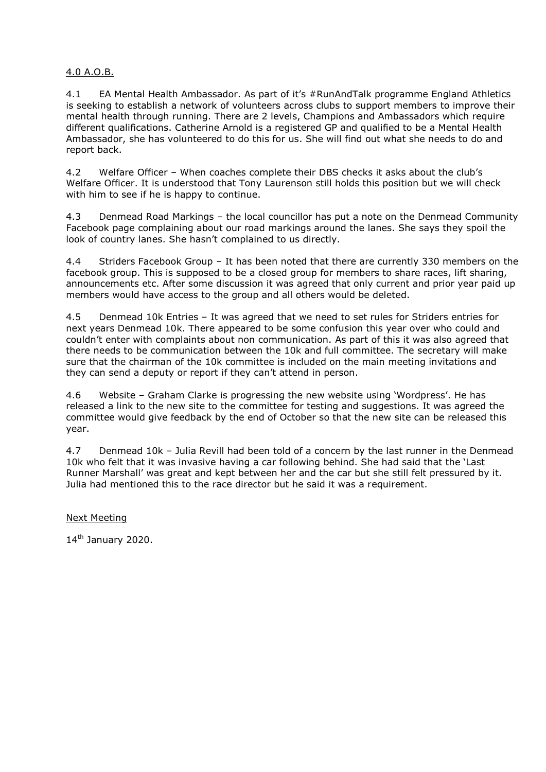# 4.0 A.O.B.

4.1 EA Mental Health Ambassador. As part of it's #RunAndTalk programme England Athletics is seeking to establish a network of volunteers across clubs to support members to improve their mental health through running. There are 2 levels, Champions and Ambassadors which require different qualifications. Catherine Arnold is a registered GP and qualified to be a Mental Health Ambassador, she has volunteered to do this for us. She will find out what she needs to do and report back.

4.2 Welfare Officer – When coaches complete their DBS checks it asks about the club's Welfare Officer. It is understood that Tony Laurenson still holds this position but we will check with him to see if he is happy to continue.

4.3 Denmead Road Markings – the local councillor has put a note on the Denmead Community Facebook page complaining about our road markings around the lanes. She says they spoil the look of country lanes. She hasn't complained to us directly.

4.4 Striders Facebook Group – It has been noted that there are currently 330 members on the facebook group. This is supposed to be a closed group for members to share races, lift sharing, announcements etc. After some discussion it was agreed that only current and prior year paid up members would have access to the group and all others would be deleted.

4.5 Denmead 10k Entries – It was agreed that we need to set rules for Striders entries for next years Denmead 10k. There appeared to be some confusion this year over who could and couldn't enter with complaints about non communication. As part of this it was also agreed that there needs to be communication between the 10k and full committee. The secretary will make sure that the chairman of the 10k committee is included on the main meeting invitations and they can send a deputy or report if they can't attend in person.

4.6 Website – Graham Clarke is progressing the new website using 'Wordpress'. He has released a link to the new site to the committee for testing and suggestions. It was agreed the committee would give feedback by the end of October so that the new site can be released this year.

4.7 Denmead 10k – Julia Revill had been told of a concern by the last runner in the Denmead 10k who felt that it was invasive having a car following behind. She had said that the 'Last Runner Marshall' was great and kept between her and the car but she still felt pressured by it. Julia had mentioned this to the race director but he said it was a requirement.

Next Meeting

14<sup>th</sup> January 2020.